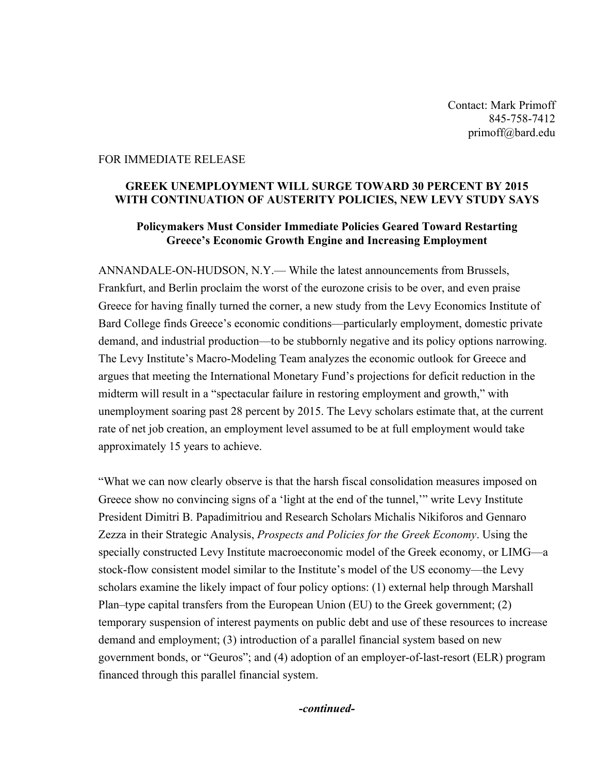Contact: Mark Primoff 845-758-7412 primoff@bard.edu

## FOR IMMEDIATE RELEASE

## **GREEK UNEMPLOYMENT WILL SURGE TOWARD 30 PERCENT BY 2015 WITH CONTINUATION OF AUSTERITY POLICIES, NEW LEVY STUDY SAYS**

## **Policymakers Must Consider Immediate Policies Geared Toward Restarting Greece's Economic Growth Engine and Increasing Employment**

ANNANDALE-ON-HUDSON, N.Y.— While the latest announcements from Brussels, Frankfurt, and Berlin proclaim the worst of the eurozone crisis to be over, and even praise Greece for having finally turned the corner, a new study from the Levy Economics Institute of Bard College finds Greece's economic conditions—particularly employment, domestic private demand, and industrial production—to be stubbornly negative and its policy options narrowing. The Levy Institute's Macro-Modeling Team analyzes the economic outlook for Greece and argues that meeting the International Monetary Fund's projections for deficit reduction in the midterm will result in a "spectacular failure in restoring employment and growth," with unemployment soaring past 28 percent by 2015. The Levy scholars estimate that, at the current rate of net job creation, an employment level assumed to be at full employment would take approximately 15 years to achieve.

"What we can now clearly observe is that the harsh fiscal consolidation measures imposed on Greece show no convincing signs of a 'light at the end of the tunnel,'" write Levy Institute President Dimitri B. Papadimitriou and Research Scholars Michalis Nikiforos and Gennaro Zezza in their Strategic Analysis, *Prospects and Policies for the Greek Economy*. Using the specially constructed Levy Institute macroeconomic model of the Greek economy, or LIMG—a stock-flow consistent model similar to the Institute's model of the US economy—the Levy scholars examine the likely impact of four policy options: (1) external help through Marshall Plan–type capital transfers from the European Union (EU) to the Greek government; (2) temporary suspension of interest payments on public debt and use of these resources to increase demand and employment; (3) introduction of a parallel financial system based on new government bonds, or "Geuros"; and (4) adoption of an employer-of-last-resort (ELR) program financed through this parallel financial system.

*-continued-*